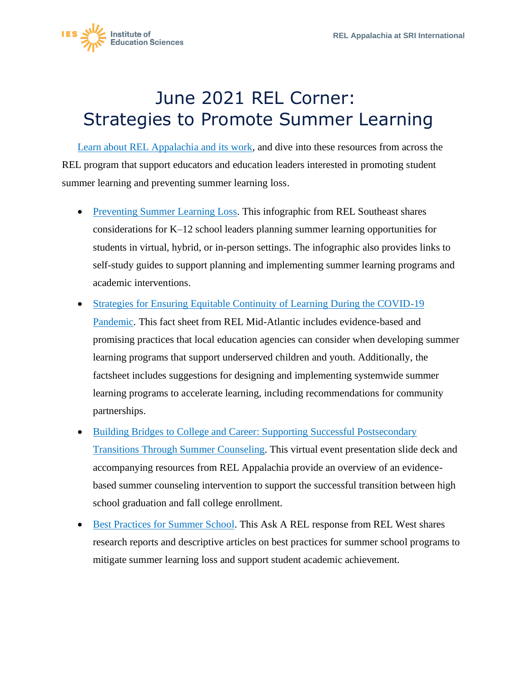

## June 2021 REL Corner: Strategies to Promote Summer Learning

[Learn about REL Appalachia and its work,](https://ies.ed.gov/ncee/edlabs/regions/appalachia/) and dive into these resources from across the REL program that support educators and education leaders interested in promoting student summer learning and preventing summer learning loss.

- [Preventing Summer Learning Loss.](https://ies.ed.gov/ncee/edlabs/infographics/pdf/REL_SE_Preventing_Summer_Learning_Loss.pdf) This infographic from REL Southeast shares considerations for K–12 school leaders planning summer learning opportunities for students in virtual, hybrid, or in-person settings. The infographic also provides links to self-study guides to support planning and implementing summer learning programs and academic interventions.
- promising practices that local education agencies can consider when developing summer • Strategies for Ensuring Equitable Continuity of Learning During the COVID-19 [Pandemic.](https://ies.ed.gov/ncee/edlabs/regions/midatlantic/app/Docs/Infographics/REL_MA_Continuity_of_Learning_Strategies_Fact_sheet_FINAL_508.pdf) This fact sheet from REL Mid-Atlantic includes evidence-based and learning programs that support underserved children and youth. Additionally, the factsheet includes suggestions for designing and implementing systemwide summer learning programs to accelerate learning, including recommendations for community partnerships.
- [Building Bridges to College and Career: Supporting Successful Postsecondary](https://ies.ed.gov/ncee/edlabs/regions/appalachia/events/event_5-22-19_building_bridges.asp)  [Transitions Through Summer Counseling.](https://ies.ed.gov/ncee/edlabs/regions/appalachia/events/event_5-22-19_building_bridges.asp) This virtual event presentation slide deck and accompanying resources from REL Appalachia provide an overview of an evidencebased summer counseling intervention to support the successful transition between high school graduation and fall college enrollment.
- [Best Practices for Summer School.](https://ies.ed.gov/ncee/edlabs/regions/west/Ask/Details/61) This Ask A REL response from REL West shares research reports and descriptive articles on best practices for summer school programs to mitigate summer learning loss and support student academic achievement.